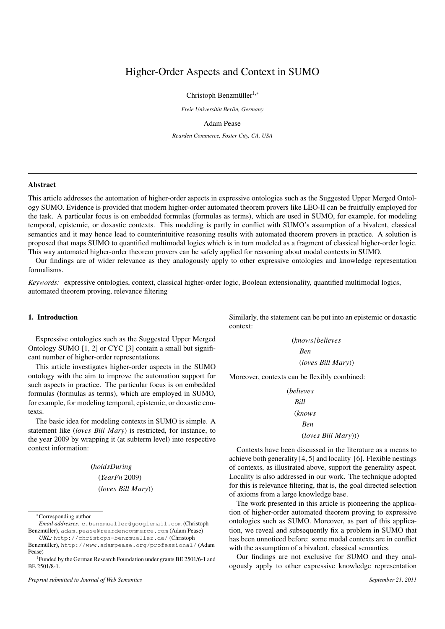# Higher-Order Aspects and Context in SUMO

Christoph Benzmüller<sup>1,\*</sup>

*Freie Universitat Berlin, Germany ¨*

# Adam Pease

*Rearden Commerce, Foster City, CA, USA*

# Abstract

This article addresses the automation of higher-order aspects in expressive ontologies such as the Suggested Upper Merged Ontology SUMO. Evidence is provided that modern higher-order automated theorem provers like LEO-II can be fruitfully employed for the task. A particular focus is on embedded formulas (formulas as terms), which are used in SUMO, for example, for modeling temporal, epistemic, or doxastic contexts. This modeling is partly in conflict with SUMO's assumption of a bivalent, classical semantics and it may hence lead to counterintuitive reasoning results with automated theorem provers in practice. A solution is proposed that maps SUMO to quantified multimodal logics which is in turn modeled as a fragment of classical higher-order logic. This way automated higher-order theorem provers can be safely applied for reasoning about modal contexts in SUMO.

Our findings are of wider relevance as they analogously apply to other expressive ontologies and knowledge representation formalisms.

*Keywords:* expressive ontologies, context, classical higher-order logic, Boolean extensionality, quantified multimodal logics, automated theorem proving, relevance filtering

# 1. Introduction

Expressive ontologies such as the Suggested Upper Merged Ontology SUMO [1, 2] or CYC [3] contain a small but significant number of higher-order representations.

This article investigates higher-order aspects in the SUMO ontology with the aim to improve the automation support for such aspects in practice. The particular focus is on embedded formulas (formulas as terms), which are employed in SUMO, for example, for modeling temporal, epistemic, or doxastic contexts.

The basic idea for modeling contexts in SUMO is simple. A statement like (*loves Bill Mary*) is restricted, for instance, to the year 2009 by wrapping it (at subterm level) into respective context information:

> (*holdsDuring* (*YearFn* 2009) (*loves Bill Mary*))

<sup>∗</sup>Corresponding author

Similarly, the statement can be put into an epistemic or doxastic context:

(*knows*/*believes Ben* (*loves Bill Mary*))

Moreover, contexts can be flexibly combined:

```
(believes
  Bill
  (knows
     Ben
     (loves Bill Mary)))
```
Contexts have been discussed in the literature as a means to achieve both generality [4, 5] and locality [6]. Flexible nestings of contexts, as illustrated above, support the generality aspect. Locality is also addressed in our work. The technique adopted for this is relevance filtering, that is, the goal directed selection of axioms from a large knowledge base.

The work presented in this article is pioneering the application of higher-order automated theorem proving to expressive ontologies such as SUMO. Moreover, as part of this application, we reveal and subsequently fix a problem in SUMO that has been unnoticed before: some modal contexts are in conflict with the assumption of a bivalent, classical semantics.

Our findings are not exclusive for SUMO and they analogously apply to other expressive knowledge representation

*Email addresses:* c.benzmueller@googlemail.com (Christoph Benzmüller), adam.pease@reardencommerce.com (Adam Pease) *URL:* http://christoph-benzmueller.de/ (Christoph

Benzmüller), http://www.adampease.org/professional/ (Adam Pease)

<sup>1</sup>Funded by the German Research Foundation under grants BE 2501/6-1 and BE 2501/8-1.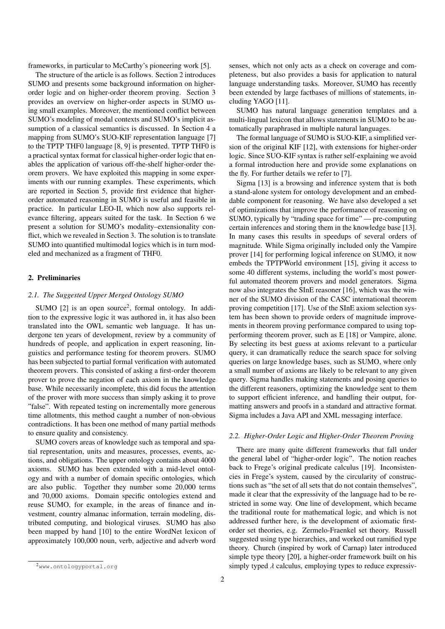frameworks, in particular to McCarthy's pioneering work [5].

The structure of the article is as follows. Section 2 introduces SUMO and presents some background information on higherorder logic and on higher-order theorem proving. Section 3 provides an overview on higher-order aspects in SUMO using small examples. Moreover, the mentioned conflict between SUMO's modeling of modal contexts and SUMO's implicit assumption of a classical semantics is discussed. In Section 4 a mapping from SUMO's SUO-KIF representation language [7] to the TPTP THF0 language [8, 9] is presented. TPTP THF0 is a practical syntax format for classical higher-order logic that enables the application of various off-the-shelf higher-order theorem provers. We have exploited this mapping in some experiments with our running examples. These experiments, which are reported in Section 5, provide first evidence that higherorder automated reasoning in SUMO is useful and feasible in practice. In particular LEO-II, which now also supports relevance filtering, appears suited for the task. In Section 6 we present a solution for SUMO's modality–extensionality conflict, which we revealed in Section 3. The solution is to translate SUMO into quantified multimodal logics which is in turn modeled and mechanized as a fragment of THF0.

## 2. Preliminaries

#### *2.1. The Suggested Upper Merged Ontology SUMO*

SUMO  $[2]$  is an open source<sup>2</sup>, formal ontology. In addition to the expressive logic it was authored in, it has also been translated into the OWL semantic web language. It has undergone ten years of development, review by a community of hundreds of people, and application in expert reasoning, linguistics and performance testing for theorem provers. SUMO has been subjected to partial formal verification with automated theorem provers. This consisted of asking a first-order theorem prover to prove the negation of each axiom in the knowledge base. While necessarily incomplete, this did focus the attention of the prover with more success than simply asking it to prove "false". With repeated testing on incrementally more generous time allotments, this method caught a number of non-obvious contradictions. It has been one method of many partial methods to ensure quality and consistency.

SUMO covers areas of knowledge such as temporal and spatial representation, units and measures, processes, events, actions, and obligations. The upper ontology contains about 4000 axioms. SUMO has been extended with a mid-level ontology and with a number of domain specific ontologies, which are also public. Together they number some 20,000 terms and 70,000 axioms. Domain specific ontologies extend and reuse SUMO, for example, in the areas of finance and investment, country almanac information, terrain modeling, distributed computing, and biological viruses. SUMO has also been mapped by hand [10] to the entire WordNet lexicon of approximately 100,000 noun, verb, adjective and adverb word

senses, which not only acts as a check on coverage and completeness, but also provides a basis for application to natural language understanding tasks. Moreover, SUMO has recently been extended by large factbases of millions of statements, including YAGO [11].

SUMO has natural language generation templates and a multi-lingual lexicon that allows statements in SUMO to be automatically paraphrased in multiple natural languages.

The formal language of SUMO is SUO-KIF, a simplified version of the original KIF [12], with extensions for higher-order logic. Since SUO-KIF syntax is rather self-explaining we avoid a formal introduction here and provide some explanations on the fly. For further details we refer to [7].

Sigma [13] is a browsing and inference system that is both a stand-alone system for ontology development and an embeddable component for reasoning. We have also developed a set of optimizations that improve the performance of reasoning on SUMO, typically by "trading space for time" — pre-computing certain inferences and storing them in the knowledge base [13]. In many cases this results in speedups of several orders of magnitude. While Sigma originally included only the Vampire prover [14] for performing logical inference on SUMO, it now embeds the TPTPWorld environment [15], giving it access to some 40 different systems, including the world's most powerful automated theorem provers and model generators. Sigma now also integrates the SInE reasoner [16], which was the winner of the SUMO division of the CASC international theorem proving competition [17]. Use of the SInE axiom selection system has been shown to provide orders of magnitude improvements in theorem proving performance compared to using topperforming theorem prover, such as E [18] or Vampire, alone. By selecting its best guess at axioms relevant to a particular query, it can dramatically reduce the search space for solving queries on large knowledge bases, such as SUMO, where only a small number of axioms are likely to be relevant to any given query. Sigma handles making statements and posing queries to the different reasoners, optimizing the knowledge sent to them to support efficient inference, and handling their output, formatting answers and proofs in a standard and attractive format. Sigma includes a Java API and XML messaging interface.

# *2.2. Higher-Order Logic and Higher-Order Theorem Proving*

There are many quite different frameworks that fall under the general label of "higher-order logic". The notion reaches back to Frege's original predicate calculus [19]. Inconsistencies in Frege's system, caused by the circularity of constructions such as "the set of all sets that do not contain themselves", made it clear that the expressivity of the language had to be restricted in some way. One line of development, which became the traditional route for mathematical logic, and which is not addressed further here, is the development of axiomatic firstorder set theories, e.g. Zermelo-Fraenkel set theory. Russell suggested using type hierarchies, and worked out ramified type theory. Church (inspired by work of Carnap) later introduced simple type theory [20], a higher-order framework built on his simply typed  $\lambda$  calculus, employing types to reduce expressiv-

<sup>2</sup>www.ontologyportal.org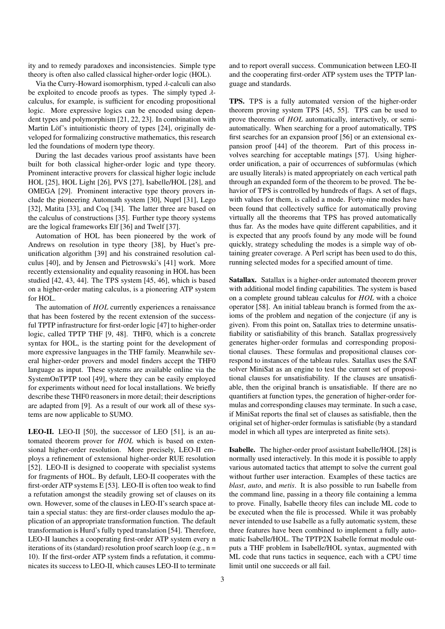ity and to remedy paradoxes and inconsistencies. Simple type theory is often also called classical higher-order logic (HOL).

Via the Curry-Howard isomorphism, typed  $\lambda$ -calculi can also be exploited to encode proofs as types. The simply typed  $\lambda$ calculus, for example, is sufficient for encoding propositional logic. More expressive logics can be encoded using dependent types and polymorphism [21, 22, 23]. In combination with Martin Löf's intuitionistic theory of types [24], originally developed for formalizing constructive mathematics, this research led the foundations of modern type theory.

During the last decades various proof assistants have been built for both classical higher-order logic and type theory. Prominent interactive provers for classical higher logic include HOL [25], HOL Light [26], PVS [27], Isabelle/HOL [28], and OMEGA [29]. Prominent interactive type theory provers include the pioneering Automath system [30], Nuprl [31], Lego [32], Matita [33], and Coq [34]. The latter three are based on the calculus of constructions [35]. Further type theory systems are the logical frameworks Elf [36] and Twelf [37].

Automation of HOL has been pioneered by the work of Andrews on resolution in type theory [38], by Huet's preunification algorithm [39] and his constrained resolution calculus [40], and by Jensen and Pietroswski's [41] work. More recently extensionality and equality reasoning in HOL has been studied [42, 43, 44]. The TPS system [45, 46], which is based on a higher-order mating calculus, is a pioneering ATP system for HOL.

The automation of *HOL* currently experiences a renaissance that has been fostered by the recent extension of the successful TPTP infrastructure for first-order logic [47] to higher-order logic, called TPTP THF [9, 48]. THF0, which is a concrete syntax for HOL, is the starting point for the development of more expressive languages in the THF family. Meanwhile several higher-order provers and model finders accept the THF0 language as input. These systems are available online via the SystemOnTPTP tool [49], where they can be easily employed for experiments without need for local installations. We briefly describe these THF0 reasoners in more detail; their descriptions are adapted from [9]. As a result of our work all of these systems are now applicable to SUMO.

LEO-II. LEO-II [50], the successor of LEO [51], is an automated theorem prover for *HOL* which is based on extensional higher-order resolution. More precisely, LEO-II employs a refinement of extensional higher-order RUE resolution [52]. LEO-II is designed to cooperate with specialist systems for fragments of HOL. By default, LEO-II cooperates with the first-order ATP systems E [53]. LEO-II is often too weak to find a refutation amongst the steadily growing set of clauses on its own. However, some of the clauses in LEO-II's search space attain a special status: they are first-order clauses modulo the application of an appropriate transformation function. The default transformation is Hurd's fully typed translation [54]. Therefore, LEO-II launches a cooperating first-order ATP system every n iterations of its (standard) resolution proof search loop (e.g.,  $n =$ 10). If the first-order ATP system finds a refutation, it communicates its success to LEO-II, which causes LEO-II to terminate

and to report overall success. Communication between LEO-II and the cooperating first-order ATP system uses the TPTP language and standards.

TPS. TPS is a fully automated version of the higher-order theorem proving system TPS [45, 55]. TPS can be used to prove theorems of *HOL* automatically, interactively, or semiautomatically. When searching for a proof automatically, TPS first searches for an expansion proof [56] or an extensional expansion proof [44] of the theorem. Part of this process involves searching for acceptable matings [57]. Using higherorder unification, a pair of occurrences of subformulas (which are usually literals) is mated appropriately on each vertical path through an expanded form of the theorem to be proved. The behavior of TPS is controlled by hundreds of flags. A set of flags, with values for them, is called a mode. Forty-nine modes have been found that collectively suffice for automatically proving virtually all the theorems that TPS has proved automatically thus far. As the modes have quite different capabilities, and it is expected that any proofs found by any mode will be found quickly, strategy scheduling the modes is a simple way of obtaining greater coverage. A Perl script has been used to do this, running selected modes for a specified amount of time.

Satallax. Satallax is a higher-order automated theorem prover with additional model finding capabilities. The system is based on a complete ground tableau calculus for *HOL* with a choice operator [58]. An initial tableau branch is formed from the axioms of the problem and negation of the conjecture (if any is given). From this point on, Satallax tries to determine unsatisfiability or satisfiability of this branch. Satallax progressively generates higher-order formulas and corresponding propositional clauses. These formulas and propositional clauses correspond to instances of the tableau rules. Satallax uses the SAT solver MiniSat as an engine to test the current set of propositional clauses for unsatisfiability. If the clauses are unsatisfiable, then the original branch is unsatisfiable. If there are no quantifiers at function types, the generation of higher-order formulas and corresponding clauses may terminate. In such a case, if MiniSat reports the final set of clauses as satisfiable, then the original set of higher-order formulas is satisfiable (by a standard model in which all types are interpreted as finite sets).

Isabelle. The higher-order proof assistant Isabelle/HOL [28] is normally used interactively. In this mode it is possible to apply various automated tactics that attempt to solve the current goal without further user interaction. Examples of these tactics are *blast*, *auto*, and *metis*. It is also possible to run Isabelle from the command line, passing in a theory file containing a lemma to prove. Finally, Isabelle theory files can include ML code to be executed when the file is processed. While it was probably never intended to use Isabelle as a fully automatic system, these three features have been combined to implement a fully automatic Isabelle/HOL. The TPTP2X Isabelle format module outputs a THF problem in Isabelle/HOL syntax, augmented with ML code that runs tactics in sequence, each with a CPU time limit until one succeeds or all fail.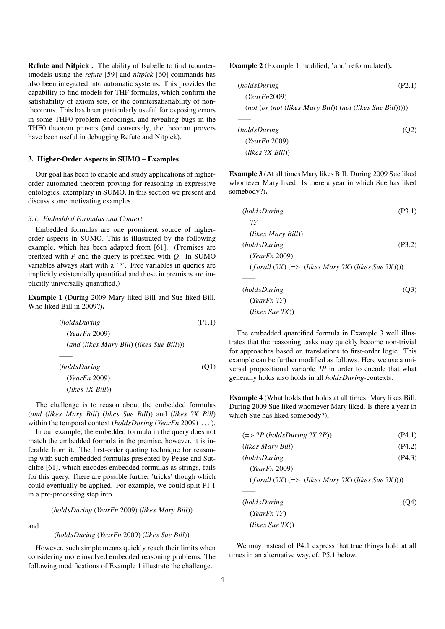Refute and Nitpick . The ability of Isabelle to find (counter- )models using the *refute* [59] and *nitpick* [60] commands has also been integrated into automatic systems. This provides the capability to find models for THF formulas, which confirm the satisfiability of axiom sets, or the countersatisfiability of nontheorems. This has been particularly useful for exposing errors in some THF0 problem encodings, and revealing bugs in the THF0 theorem provers (and conversely, the theorem provers have been useful in debugging Refute and Nitpick).

#### 3. Higher-Order Aspects in SUMO – Examples

Our goal has been to enable and study applications of higherorder automated theorem proving for reasoning in expressive ontologies, exemplary in SUMO. In this section we present and discuss some motivating examples.

## *3.1. Embedded Formulas and Context*

Embedded formulas are one prominent source of higherorder aspects in SUMO. This is illustrated by the following example, which has been adapted from [61]. (Premises are prefixed with *P* and the query is prefixed with *Q*. In SUMO variables always start with a '*?*'. Free variables in queries are implicitly existentially quantified and those in premises are implicitly universally quantified.)

Example 1 (During 2009 Mary liked Bill and Sue liked Bill. Who liked Bill in 2009?).

| (holdsDuring)                               | (P1.1) |
|---------------------------------------------|--------|
| (YearFn 2009)                               |        |
| $(and (likes Mary Bill) (likes Sue Bill)))$ |        |
|                                             |        |
| (holdsDuring)                               | (O1)   |
| (YearFn 2009)                               |        |
| $(likes 2X Bill))$                          |        |

The challenge is to reason about the embedded formulas (*and* (*likes Mary Bill*) (*likes Sue Bill*)) and (*likes* ?*X Bill*) within the temporal context (*holdsDuring* (*YearFn* 2009) . . . ).

In our example, the embedded formula in the query does not match the embedded formula in the premise, however, it is inferable from it. The first-order quoting technique for reasoning with such embedded formulas presented by Pease and Sutcliffe [61], which encodes embedded formulas as strings, fails for this query. There are possible further 'tricks' though which could eventually be applied. For example, we could split P1.1 in a pre-processing step into

(*holdsDuring* (*YearFn* 2009) (*likes Mary Bill*))

and

# (*holdsDuring* (*YearFn* 2009) (*likes Sue Bill*))

However, such simple means quickly reach their limits when considering more involved embedded reasoning problems. The following modifications of Example 1 illustrate the challenge.

Example 2 (Example 1 modified; 'and' reformulated).

(*holdsDuring* (P2.1) (*YearFn*2009) (*not* (*or* (*not* (*likes Mary Bill*)) (*not* (*likes Sue Bill*))))) *——* (*holdsDuring* (Q2) (*YearFn* 2009) (*likes* ?*X Bill*))

Example 3 (At all times Mary likes Bill. During 2009 Sue liked whomever Mary liked. Is there a year in which Sue has liked somebody?).

(*holdsDuring* (P3.1) ?*Y* (*likes Mary Bill*)) (*holdsDuring* (P3.2) (*YearFn* 2009) (*f orall* (?*X*) (=> (*likes Mary* ?*X*) (*likes Sue* ?*X*)))) *——* (*holdsDuring* (Q3) (*YearFn* ?*Y*) (*likes Sue* ?*X*))

The embedded quantified formula in Example 3 well illustrates that the reasoning tasks may quickly become non-trivial for approaches based on translations to first-order logic. This example can be further modified as follows. Here we use a universal propositional variable ?*P* in order to encode that what generally holds also holds in all *holdsDuring*-contexts.

Example 4 (What holds that holds at all times. Mary likes Bill. During 2009 Sue liked whomever Mary liked. Is there a year in which Sue has liked somebody?).

| $(=> ?P (holdsDuring ?Y ?P))$                        | (P4.1) |
|------------------------------------------------------|--------|
| (likes Mary Bill)                                    | (P4.2) |
| (holdsDuring)                                        | (P4.3) |
| (YearFn 2009)                                        |        |
| $(forall (?X) (=> (likes Mary ?X) (likes Sue ?X))))$ |        |
|                                                      |        |
| (holdsDuring)                                        | (O4)   |
| $(YearFn$ ?Y)                                        |        |

We may instead of P4.1 express that true things hold at all times in an alternative way, cf. P5.1 below.

(*likes Sue* ?*X*))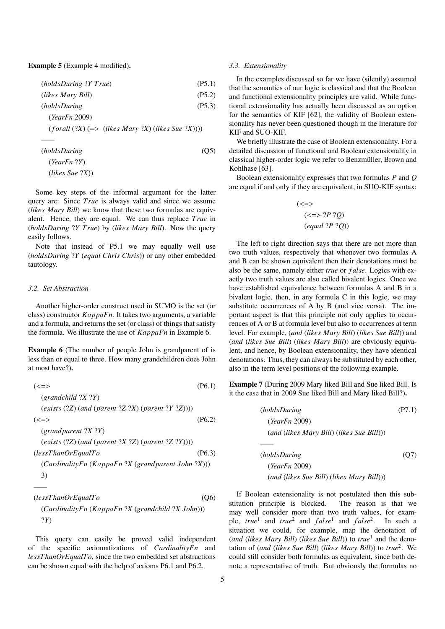Example 5 (Example 4 modified).

| (holdsDuring ?Y True)                                 | (P5.1) |
|-------------------------------------------------------|--------|
| (likes Mary Bill)                                     | (P5.2) |
| (holdsDuring)                                         | (P5.3) |
| (YearFn 2009)                                         |        |
| $(forall (?X) (= > (likes Mary ?X) (likes Sue ?X))))$ |        |
|                                                       |        |

| (holdsDuring)      | (Q5) |
|--------------------|------|
| (YearFn ?Y)        |      |
| $(likes\,Sue\,?X)$ |      |

Some key steps of the informal argument for the latter query are: Since *True* is always valid and since we assume (*likes Mary Bill*) we know that these two formulas are equivalent. Hence, they are equal. We can thus replace *T rue* in (*holdsDuring* ?*Y T rue*) by (*likes Mary Bill*). Now the query easily follows.

Note that instead of P5.1 we may equally well use (*holdsDuring* ?*Y* (*equal Chris Chris*)) or any other embedded tautology.

## *3.2. Set Abstraction*

*——*

Another higher-order construct used in SUMO is the set (or class) constructor *KappaFn*. It takes two arguments, a variable and a formula, and returns the set (or class) of things that satisfy the formula. We illustrate the use of *KappaFn* in Example 6.

Example 6 (The number of people John is grandparent of is less than or equal to three. How many grandchildren does John at most have?).

| $\left(<=>\right)$                                   | (P6.1) |
|------------------------------------------------------|--------|
| $\gamma$ (grandchild $?X$ $?Y$ )                     |        |
| $(exists (?Z) (and (parent ?Z ?X) (parent ?Y ?Z))))$ |        |
| (<=>                                                 | (P6.2) |
| $\gamma$ (grand parent ?X ?Y)                        |        |
| $(exists (?Z) (and (parent ?X ?Z) (parent ?Z ?Y))))$ |        |
| (less ThanOrEqual To                                 | (P6.3) |
| (CardinalityFn (KappaFn ?X (grandparent John ?X)))   |        |
| 3)                                                   |        |

(*lessT hanOrEqualT o* (Q6) (*CardinalityFn* (*KappaFn* ?*X* (*grandchild* ?*X John*))) ?*Y*)

This query can easily be proved valid independent of the specific axiomatizations of *CardinalityFn* and *lessT hanOrEqualT o*, since the two embedded set abstractions can be shown equal with the help of axioms P6.1 and P6.2.

#### *3.3. Extensionality*

In the examples discussed so far we have (silently) assumed that the semantics of our logic is classical and that the Boolean and functional extensionality principles are valid. While functional extensionality has actually been discussed as an option for the semantics of KIF [62], the validity of Boolean extensionality has never been questioned though in the literature for KIF and SUO-KIF.

We briefly illustrate the case of Boolean extensionality. For a detailed discussion of functional and Boolean extensionality in classical higher-order logic we refer to Benzmüller, Brown and Kohlhase [63].

Boolean extensionality expresses that two formulas *P* and *Q* are equal if and only if they are equivalent, in SUO-KIF syntax:

$$
(\leq>)
$$
  

$$
(\leq>) \text{ ?}(P ? Q)
$$
  

$$
(\text{equal ?} P ? Q))
$$

The left to right direction says that there are not more than two truth values, respectively that whenever two formulas A and B can be shown equivalent then their denotations must be also be the same, namely either *true* or *f alse*. Logics with exactly two truth values are also called bivalent logics. Once we have established equivalence between formulas A and B in a bivalent logic, then, in any formula C in this logic, we may substitute occurrences of A by B (and vice versa). The important aspect is that this principle not only applies to occurrences of A or B at formula level but also to occurrences at term level. For example, (*and* (*likes Mary Bill*) (*likes Sue Bill*)) and (*and* (*likes Sue Bill*) (*likes Mary Bill*)) are obviously equivalent, and hence, by Boolean extensionality, they have identical denotations. Thus, they can always be substituted by each other, also in the term level positions of the following example.

Example 7 (During 2009 Mary liked Bill and Sue liked Bill. Is it the case that in 2009 Sue liked Bill and Mary liked Bill?).

| (holdsDuring)                               | (P7.1) |
|---------------------------------------------|--------|
| (YearFn 2009)                               |        |
| $(and (likes Mary Bill) (likes Sue Bill)))$ |        |
|                                             |        |
| (holdsDuring)                               | (O7)   |
| (YearFn 2009)                               |        |

(*and* (*likes Sue Bill*) (*likes Mary Bill*)))

If Boolean extensionality is not postulated then this substitution principle is blocked. The reason is that we may well consider more than two truth values, for example, *true*<sup>1</sup> and *true*<sup>2</sup> and *false*<sup>1</sup> and *false*<sup>2</sup>. In such a situation we could, for example, map the denotation of (*and* (*likes Mary Bill*) (*likes Sue Bill*)) to *true*<sup>1</sup> and the denotation of (*and* (*likes Sue Bill*) (*likes Mary Bill*)) to *true*<sup>2</sup> . We could still consider both formulas as equivalent, since both denote a representative of truth. But obviously the formulas no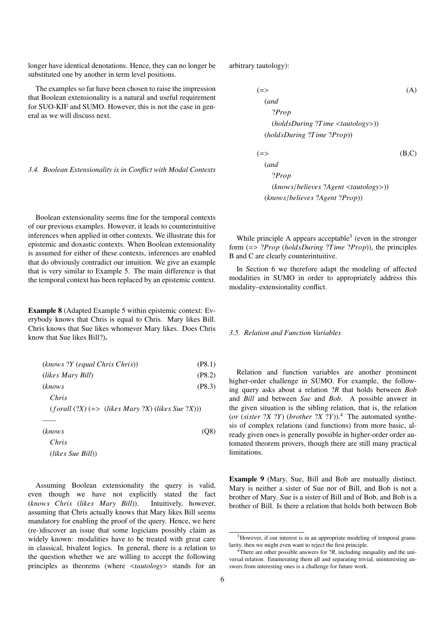longer have identical denotations. Hence, they can no longer be substituted one by another in term level positions.

The examples so far have been chosen to raise the impression that Boolean extensionality is a natural and useful requirement for SUO-KIF and SUMO. However, this is not the case in general as we will discuss next.

arbitrary tautology):

(=> (A) (*and* ?*Prop* (*holdsDuring* ?*Time* <*tautology*>)) (*holdsDuring* ?*Time* ?*Prop*)) (=> (B,C) (*and* ?*Prop* (*knows*/*believes* ?*Agent* <*tautology*>))

*3.4. Boolean Extensionality is in Conflict with Modal Contexts*

Boolean extensionality seems fine for the temporal contexts of our previous examples. However, it leads to counterintuitive inferences when applied in other contexts. We illustrate this for epistemic and doxastic contexts. When Boolean extensionality is assumed for either of these contexts, inferences are enabled that do obviously contradict our intuition. We give an example that is very similar to Example 5. The main difference is that the temporal context has been replaced by an epistemic context.

Example 8 (Adapted Example 5 within epistemic context: Everybody knows that Chris is equal to Chris. Mary likes Bill. Chris knows that Sue likes whomever Mary likes. Does Chris know that Sue likes Bill?).

| (knows ?Y (equal Chris Chris))                     | (P8.1) |
|----------------------------------------------------|--------|
| (likes Mary Bill)                                  | (P8.2) |
| (knows                                             | (P8.3) |
| Chris                                              |        |
| $(forall (?X) (=>(likes Mary ?X) (likes Sue ?X)))$ |        |
|                                                    |        |
| (knows)                                            | (O8)   |

*Chris* (*likes Sue Bill*))

Assuming Boolean extensionality the query is valid, even though we have not explicitly stated the fact (*knows Chris* (*likes Mary Bill*)). Intuitively, however, assuming that Chris actually knows that Mary likes Bill seems mandatory for enabling the proof of the query. Hence, we here (re-)discover an issue that some logicians possibly claim as widely known: modalities have to be treated with great care in classical, bivalent logics. In general, there is a relation to the question whether we are willing to accept the following principles as theorems (where <*tautology*> stands for an

While principle A appears acceptable<sup>3</sup> (even in the stronger form (=> ?*Prop* (*holdsDuring* ?*Time* ?*Prop*)), the principles B and C are clearly counterintuitive.

(*knows*/*believes* ?*Agent* ?*Prop*))

In Section 6 we therefore adapt the modeling of affected modalities in SUMO in order to appropriately address this modality–extensionality conflict.

## *3.5. Relation and Function Variables*

Relation and function variables are another prominent higher-order challenge in SUMO. For example, the following query asks about a relation ?*R* that holds between *Bob* and *Bill* and between *Sue* and *Bob*. A possible answer in the given situation is the sibling relation, that is, the relation (*or* (*sister* ?*X* ?*Y*) (*brother* ?*X* ?*Y*)). <sup>4</sup> The automated synthesis of complex relations (and functions) from more basic, already given ones is generally possible in higher-order order automated theorem provers, though there are still many practical limitations.

Example 9 (Mary, Sue, Bill and Bob are mutually distinct. Mary is neither a sister of Sue nor of Bill, and Bob is not a brother of Mary. Sue is a sister of Bill and of Bob, and Bob is a brother of Bill. Is there a relation that holds both between Bob

<sup>3</sup>However, if our interest is in an appropriate modeling of temporal granularity, then we might even want to reject the first principle.

 $4$ <sup>4</sup>There are other possible answers for ?*R*, including inequality and the universal relation. Enumerating them all and separating trivial, uninteresting answers from interesting ones is a challenge for future work.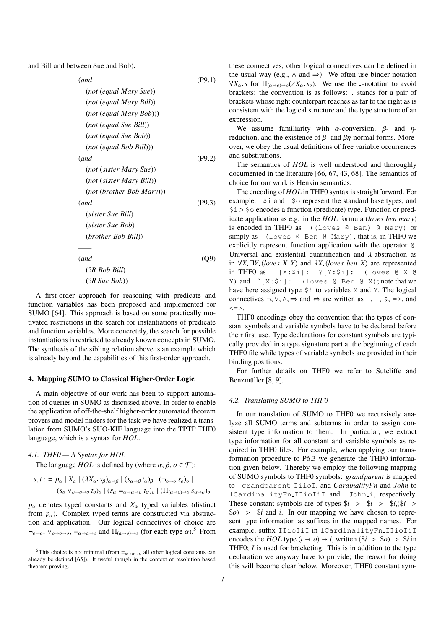and Bill and between Sue and Bob).

(*and* (P9.1) (*not* (*equal Mary Sue*)) (*not* (*equal Mary Bill*)) (*not* (*equal Mary Bob*))) (*not* (*equal Sue Bill*)) (*not* (*equal Sue Bob*)) (*not* (*equal Bob Bill*))) (*and* (P9.2) (*not* (*sister Mary Sue*)) (*not* (*sister Mary Bill*)) (*not* (*brother Bob Mary*))) (*and* (P9.3) (*sister Sue Bill*) (*sister Sue Bob*) (*brother Bob Bill*)) *——* (*and* (Q9) (?*R Bob Bill*)

(?*R Sue Bob*))

A first-order approach for reasoning with predicate and function variables has been proposed and implemented for SUMO [64]. This approach is based on some practically motivated restrictions in the search for instantiations of predicate and function variables. More concretely, the search for possible instantiations is restricted to already known concepts in SUMO. The synthesis of the sibling relation above is an example which is already beyond the capabilities of this first-order approach.

#### 4. Mapping SUMO to Classical Higher-Order Logic

A main objective of our work has been to support automation of queries in SUMO as discussed above. In order to enable the application of off-the-shelf higher-order automated theorem provers and model finders for the task we have realized a translation from SUMO's SUO-KIF language into the TPTP THF0 language, which is a syntax for *HOL*.

# *4.1. THF0 — A Syntax for HOL*

The language *HOL* is defined by (where  $\alpha, \beta, \beta \in \mathcal{T}$ ):

$$
s, t ::= p_{\alpha} | X_{\alpha} | (\lambda X_{\alpha} \cdot s_{\beta})_{\alpha \to \beta} | (s_{\alpha \to \beta} t_{\alpha})_{\beta} | (\neg_{\theta \to \theta} s_{\theta})_{\theta} |
$$
  

$$
(s_{\theta} \vee_{\theta \to \theta \to \theta} t_{\theta})_{\theta} | (s_{\alpha} =_{\alpha \to \alpha \to \theta} t_{\alpha})_{\theta} | (\Pi_{(\alpha \to \theta) \to \theta} s_{\alpha \to \theta})_{\theta}
$$

 $p_\alpha$  denotes typed constants and  $X_\alpha$  typed variables (distinct from  $p_\alpha$ ). Complex typed terms are constructed via abstraction and application. Our logical connectives of choice are  $\neg$ <sub>*o*→*o*</sub>,  $\vee$ <sub>*o*→*o*→*o*</sub>,  $=$ <sub>*a*→*a*→*o*</sub> and  $\Pi$ <sub>(*a*→*o*)→*o*</sub> (for each type *α*).<sup>5</sup> From

these connectives, other logical connectives can be defined in the usual way (e.g.,  $\land$  and  $\Rightarrow$ ). We often use binder notation  $\forall X_{\alpha}$  *s* for  $\Pi_{(\alpha \to \alpha) \to \alpha}(\lambda X_{\alpha} s_{\alpha})$ . We use the -notation to avoid brackets; the convention is as follows: stands for a pair of brackets whose right counterpart reaches as far to the right as is consistent with the logical structure and the type structure of an expression.

We assume familiarity with  $\alpha$ -conversion,  $\beta$ - and  $\eta$ reduction, and the existence of  $\beta$ - and  $\beta\eta$ -normal forms. Moreover, we obey the usual definitions of free variable occurrences and substitutions.

The semantics of *HOL* is well understood and thoroughly documented in the literature [66, 67, 43, 68]. The semantics of choice for our work is Henkin semantics.

The encoding of *HOL* in THF0 syntax is straightforward. For example, \$i and \$o represent the standard base types, and  $$i > $o$$  encodes a function (predicate) type. Function or predicate application as e.g. in the *HOL* formula (*loves ben mary*) is encoded in THF0 as ((loves @ Ben) @ Mary) or simply as (loves @ Ben @ Mary), that is, in THF0 we explicitly represent function application with the operator @. Universal and existential quantification and  $\lambda$ -abstraction as in <sup>∀</sup>*<sup>X</sup>* <sup>∃</sup>*<sup>Y</sup>* (*loves X Y*) and <sup>λ</sup>*<sup>X</sup>* (*loves ben X*) are represented in THF0 as ![X:\$i]: ?[Y:\$i]: (loves @ X @ Y) and ˆ[X:\$i]: (loves @ Ben @ X); note that we have here assigned type \$i to variables X and Y. The logical connectives  $\neg, \vee, \wedge, \Rightarrow$  and  $\Leftrightarrow$  are written as ,  $\vdash, \&, \Rightarrow$ , and  $\langle \Rightarrow \rangle$ 

THF0 encodings obey the convention that the types of constant symbols and variable symbols have to be declared before their first use. Type declarations for constant symbols are typically provided in a type signature part at the beginning of each THF0 file while types of variable symbols are provided in their binding positions.

For further details on THF0 we refer to Sutcliffe and Benzmüller [8, 9].

## *4.2. Translating SUMO to THF0*

In our translation of SUMO to THF0 we recursively analyze all SUMO terms and subterms in order to assign consistent type information to them. In particular, we extract type information for all constant and variable symbols as required in THF0 files. For example, when applying our transformation procedure to P6.3 we generate the THF0 information given below. Thereby we employ the following mapping of SUMO symbols to THF0 symbols: *grand parent* is mapped to grandparent IiioI, and *CardinalityFn* and *John* to lCardinalityFn IIioIiI and lJohn i, respectively. These constant symbols are of types  $\frac{e}{i}$  >  $\frac{e}{i}$  >  $\frac{e}{i}$ ,  $\frac{e}{i}$  > \$*o*) > \$*<sup>i</sup>* and *<sup>i</sup>*. In our mapping we have chosen to represent type information as suffixes in the mapped names. For example, suffix IIioIiI in lCardinalityFn\_IIioIiI encodes the *HOL* type  $(\iota \to o) \to i$ , written  $(\$i > \$o) > \$i$  in THF0; *I* is used for bracketing. This is in addition to the type declaration we anyway have to provide; the reason for doing this will become clear below. Moreover, THF0 constant sym-

<sup>&</sup>lt;sup>5</sup>This choice is not minimal (from  $=_{\alpha \to \alpha \to \alpha}$  all other logical constants can already be defined [65]). It useful though in the context of resolution based theorem proving.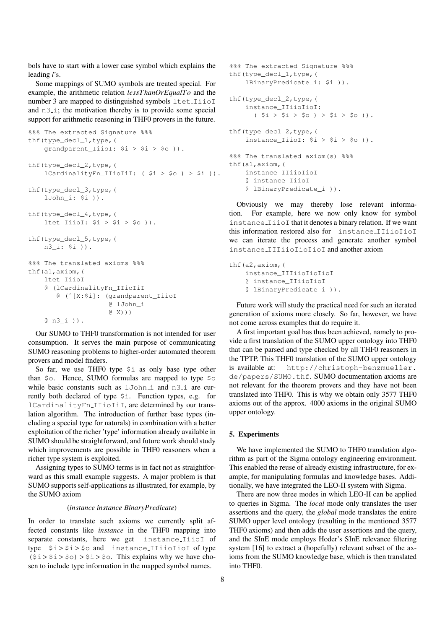bols have to start with a lower case symbol which explains the leading *l*'s.

Some mappings of SUMO symbols are treated special. For example, the arithmetic relation *lessT hanOrEqualT o* and the number 3 are mapped to distinguished symbols ltet IiioI and  $n3_i$ ; the motivation thereby is to provide some special support for arithmetic reasoning in THF0 provers in the future.

```
%%% The extracted Signature %%%
thf(type_decl_1,type,(
    grandparent_IiioI: $i > $i > $o )).
thf(type_decl_2,type,(
    lCardinalityFn_IIioIiI: ( $i > $o ) > $i )).
thf(type_decl_3,type,(
    lJohn_i: $i )).
thf(type_decl_4,type,(
    ltet_IiioI: $i > $i > $o)).
thf(type_decl_5,type,(
    n3_i: $i )).
%%% The translated axioms %%%
thf(a1,axiom,(
    ltet_IiioI
    @ (lCardinalityFn_IIioIiI
       @ (ˆ[X:$i]: (grandparent_IiioI
                    @ lJohn_i
                    @ X)))
    @ n3_i )).
```
Our SUMO to THF0 transformation is not intended for user consumption. It serves the main purpose of communicating SUMO reasoning problems to higher-order automated theorem provers and model finders.

So far, we use THF0 type \$i as only base type other than \$o. Hence, SUMO formulas are mapped to type \$o while basic constants such as lJohn i and n3 i are currently both declared of type \$i. Function types, e.g. for lCardinalityFn IIioIiI, are determined by our translation algorithm. The introduction of further base types (including a special type for naturals) in combination with a better exploitation of the richer 'type' information already available in SUMO should be straightforward, and future work should study which improvements are possible in THF0 reasoners when a richer type system is exploited.

Assigning types to SUMO terms is in fact not as straightforward as this small example suggests. A major problem is that SUMO supports self-applications as illustrated, for example, by the SUMO axiom

# (*instance instance BinaryPredicate*)

In order to translate such axioms we currently split affected constants like *instance* in the THF0 mapping into separate constants, here we get instance\_IiioI of type  $$i > $i > $o$$  and instance\_IIiioIioI of type  $(5i > 5i > 50) > 5i > 50$ . This explains why we have chosen to include type information in the mapped symbol names.

```
%%% The extracted Signature %%%
thf(type_decl_1,type,(
    lBinaryPredicate_i: $i )).
thf(type_decl_2,type,(
    instance_IIiioIioI:
      ( \sin 5i > \sin 5i > \cos 1) > \sin 5i > \cos 1).
thf(type_decl_2,type,(
    instance_IiioI: $i > $i > $o )).
%%% The translated axiom(s) %%%
thf(a1,axiom,(
    instance_IIiioIioI
    @ instance_IiioI
    @ lBinaryPredicate_i )).
```
Obviously we may thereby lose relevant information. For example, here we now only know for symbol instance IiioI that it denotes a binary relation. If we want this information restored also for instance IIiioIioI we can iterate the process and generate another symbol instance IIIiioIioIioI and another axiom

```
thf(a2,axiom,(
    instance_IIIiioIioIioI
    @ instance_IIiioIioI
    @ lBinaryPredicate_i )).
```
Future work will study the practical need for such an iterated generation of axioms more closely. So far, however, we have not come across examples that do require it.

A first important goal has thus been achieved, namely to provide a first translation of the SUMO upper ontology into THF0 that can be parsed and type checked by all THF0 reasoners in the TPTP. This THF0 translation of the SUMO upper ontology is available at: http://christoph-benzmueller. de/papers/SUMO.thf. SUMO documentation axioms are not relevant for the theorem provers and they have not been translated into THF0. This is why we obtain only 3577 THF0 axioms out of the approx. 4000 axioms in the original SUMO upper ontology.

### 5. Experiments

We have implemented the SUMO to THF0 translation algorithm as part of the Sigma ontology engineering environment. This enabled the reuse of already existing infrastructure, for example, for manipulating formulas and knowledge bases. Additionally, we have integrated the LEO-II system with Sigma.

There are now three modes in which LEO-II can be applied to queries in Sigma. The *local* mode only translates the user assertions and the query, the *global* mode translates the entire SUMO upper level ontology (resulting in the mentioned 3577 THF0 axioms) and then adds the user assertions and the query, and the SInE mode employs Hoder's SInE relevance filtering system [16] to extract a (hopefully) relevant subset of the axioms from the SUMO knowledge base, which is then translated into THF0.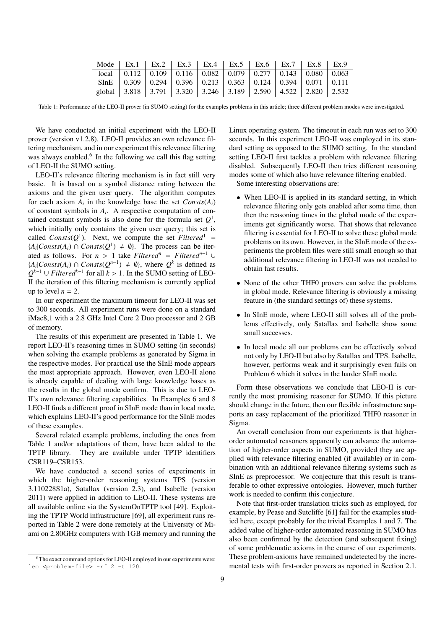| Mode   Ex.1   Ex.2   Ex.3   Ex.4   Ex.5   Ex.6   Ex.7   Ex.8   Ex.9                                                |  |  |  |  |
|--------------------------------------------------------------------------------------------------------------------|--|--|--|--|
| $\overline{local}$   0.112   0.109   0.116   0.082   0.079   0.277   0.143   0.080   0.063                         |  |  |  |  |
| SInE $\vert 0.309 \vert 0.294 \vert 0.396 \vert 0.213 \vert 0.363 \vert 0.124 \vert 0.394 \vert 0.071 \vert 0.111$ |  |  |  |  |
| global   3.818   3.791   3.320   3.246   3.189   2.590   4.522   2.820   2.532                                     |  |  |  |  |

Table 1: Performance of the LEO-II prover (in SUMO setting) for the examples problems in this article; three different problem modes were investigated.

We have conducted an initial experiment with the LEO-II prover (version v1.2.8). LEO-II provides an own relevance filtering mechanism, and in our experiment this relevance filtering was always enabled.<sup>6</sup> In the following we call this flag setting of LEO-II the SUMO setting.

LEO-II's relevance filtering mechanism is in fact still very basic. It is based on a symbol distance rating between the axioms and the given user query. The algorithm computes for each axiom  $A_i$  in the knowledge base the set  $Consts(A_i)$ of constant symbols in *A<sup>i</sup>* . A respective computation of contained constant symbols is also done for the formula set  $Q<sup>1</sup>$ , which initially only contains the given user query; this set is called  $Consts(Q<sup>1</sup>)$ . Next, we compute the set *Filtered*<sup>1</sup> = { $A_i$ |*Consts*( $A_i$ ) ∩ *Consts*( $Q^1$ ) ≠  $\emptyset$ }. The process can be iterated as follows. For  $n > 1$  take *Filtered*<sup>*n*</sup> = *Filtered*<sup>*n*-1</sup> ∪ { $A_i$ |*Consts*( $A_i$ ) ∩ *Consts*( $Q^{n-1}$ ) ≠  $\emptyset$ }, where  $Q^k$  is defined as  $Q^{k-1}$  ∪ *Filtered*<sup> $k-1$ </sup> for all  $k > 1$ . In the SUMO setting of LEO-<br>If the iteration of this filtering mechanism is currently applied II the iteration of this filtering mechanism is currently applied up to level  $n = 2$ .

In our experiment the maximum timeout for LEO-II was set to 300 seconds. All experiment runs were done on a standard iMac8,1 with a 2.8 GHz Intel Core 2 Duo processor and 2 GB of memory.

The results of this experiment are presented in Table 1. We report LEO-II's reasoning times in SUMO setting (in seconds) when solving the example problems as generated by Sigma in the respective modes. For practical use the SInE mode appears the most appropriate approach. However, even LEO-II alone is already capable of dealing with large knowledge bases as the results in the global mode confirm. This is due to LEO-II's own relevance filtering capabilities. In Examples 6 and 8 LEO-II finds a different proof in SInE mode than in local mode, which explains LEO-II's good performance for the SInE modes of these examples.

Several related example problems, including the ones from Table 1 and/or adaptations of them, have been added to the TPTP library. They are available under TPTP identifiers CSR119–CSR153.

We have conducted a second series of experiments in which the higher-order reasoning systems TPS (version 3.110228S1a), Satallax (version 2.3), and Isabelle (version 2011) were applied in addition to LEO-II. These systems are all available online via the SystemOnTPTP tool [49]. Exploiting the TPTP World infrastructure [69], all experiment runs reported in Table 2 were done remotely at the University of Miami on 2.80GHz computers with 1GB memory and running the

Linux operating system. The timeout in each run was set to 300 seconds. In this experiment LEO-II was employed in its standard setting as opposed to the SUMO setting. In the standard setting LEO-II first tackles a problem with relevance filtering disabled. Subsequently LEO-II then tries different reasoning modes some of which also have relevance filtering enabled.

Some interesting observations are:

- When LEO-II is applied in its standard setting, in which relevance filtering only gets enabled after some time, then then the reasoning times in the global mode of the experiments get significantly worse. That shows that relevance filtering is essential for LEO-II to solve these global mode problems on its own. However, in the SInE mode of the experiments the problem files were still small enough so that additional relevance filtering in LEO-II was not needed to obtain fast results.
- None of the other THF0 provers can solve the problems in global mode. Relevance filtering is obviously a missing feature in (the standard settings of) these systems.
- In SInE mode, where LEO-II still solves all of the problems effectively, only Satallax and Isabelle show some small successes.
- In local mode all our problems can be effectively solved not only by LEO-II but also by Satallax and TPS. Isabelle, however, performs weak and it surprisingly even fails on Problem 6 which it solves in the harder SInE mode.

Form these observations we conclude that LEO-II is currently the most promising reasoner for SUMO. If this picture should change in the future, then our flexible infrastructure supports an easy replacement of the prioritized THF0 reasoner in Sigma.

An overall conclusion from our experiments is that higherorder automated reasoners apparently can advance the automation of higher-order aspects in SUMO, provided they are applied with relevance filtering enabled (if available) or in combination with an additional relevance filtering systems such as SInE as preprocessor. We conjecture that this result is transferable to other expressive ontologies. However, much further work is needed to confirm this conjecture.

Note that first-order translation tricks such as employed, for example, by Pease and Sutcliffe [61] fail for the examples studied here, except probably for the trivial Examples 1 and 7. The added value of higher-order automated reasoning in SUMO has also been confirmed by the detection (and subsequent fixing) of some problematic axioms in the course of our experiments. These problem-axioms have remained undetected by the incremental tests with first-order provers as reported in Section 2.1.

<sup>&</sup>lt;sup>6</sup>The exact command options for LEO-II employed in our experiments were: leo <problem-file> -rf 2 -t 120.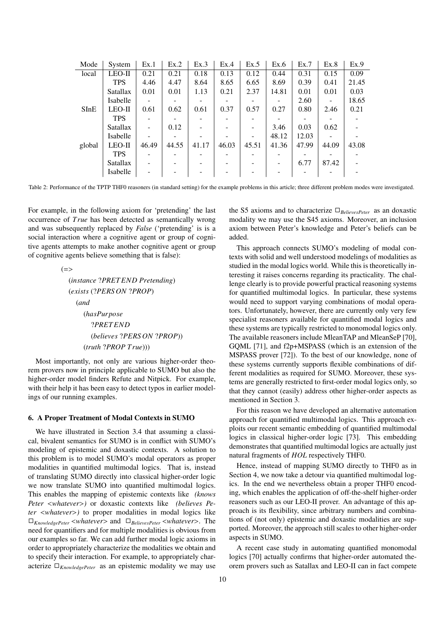| Mode   | System          | Ex.1  | Ex.2  | Ex.3  | Ex.4  | Ex.5  | Ex.6  | Ex.7  | Ex.8                     | Ex.9  |
|--------|-----------------|-------|-------|-------|-------|-------|-------|-------|--------------------------|-------|
| local  | $LEO-II$        | 0.21  | 0.21  | 0.18  | 0.13  | 0.12  | 0.44  | 0.31  | 0.15                     | 0.09  |
|        | <b>TPS</b>      | 4.46  | 4.47  | 8.64  | 8.65  | 6.65  | 8.69  | 0.39  | 0.41                     | 21.45 |
|        | <b>Satallax</b> | 0.01  | 0.01  | 1.13  | 0.21  | 2.37  | 14.81 | 0.01  | 0.01                     | 0.03  |
|        | Isabelle        |       |       |       |       |       |       | 2.60  |                          | 18.65 |
| SInE   | $LEO-II$        | 0.61  | 0.62  | 0.61  | 0.37  | 0.57  | 0.27  | 0.80  | 2.46                     | 0.21  |
|        | <b>TPS</b>      |       |       |       |       |       |       |       |                          |       |
|        | <b>Satallax</b> |       | 0.12  |       |       |       | 3.46  | 0.03  | 0.62                     |       |
|        | <b>Isabelle</b> |       |       |       |       | -     | 48.12 | 12.03 | $\overline{\phantom{0}}$ |       |
| global | $LEO-II$        | 46.49 | 44.55 | 41.17 | 46.03 | 45.51 | 41.36 | 47.99 | 44.09                    | 43.08 |
|        | <b>TPS</b>      |       |       |       |       |       |       |       |                          |       |
|        | <b>Satallax</b> |       |       |       |       |       | ۰     | 6.77  | 87.42                    |       |
|        | Isabelle        |       |       |       |       |       |       |       |                          |       |

Table 2: Performance of the TPTP THF0 reasoners (in standard setting) for the example problems in this article; three different problem modes were investigated.

For example, in the following axiom for 'pretending' the last occurrence of *T rue* has been detected as semantically wrong and was subsequently replaced by *False* ('pretending' is is a social interaction where a cognitive agent or group of cognitive agents attempts to make another cognitive agent or group of cognitive agents believe something that is false):

> $(=$ (*instance* ?*PRET END Pretending*) (*exists* (?*PERS ON* ?*PROP*) (*and* (*hasPurpose* ?*PRET END* (*believes* ?*PERS ON* ?*PROP*)) (*truth* ?*PROP T rue*)))

Most importantly, not only are various higher-order theorem provers now in principle applicable to SUMO but also the higher-order model finders Refute and Nitpick. For example, with their help it has been easy to detect typos in earlier modelings of our running examples.

#### 6. A Proper Treatment of Modal Contexts in SUMO

We have illustrated in Section 3.4 that assuming a classical, bivalent semantics for SUMO is in conflict with SUMO's modeling of epistemic and doxastic contexts. A solution to this problem is to model SUMO's modal operators as proper modalities in quantified multimodal logics. That is, instead of translating SUMO directly into classical higher-order logic we now translate SUMO into quantified multimodal logics. This enables the mapping of epistemic contexts like *(knows Peter* <*whatever*>*)* or doxastic contexts like *(believes Peter* <*whatever*>*)* to proper modalities in modal logics like ✷*KnowledgePeter* <sup>&</sup>lt;*whatever*<sup>&</sup>gt; and ✷*BelievesPeter* <sup>&</sup>lt;*whatever*>. The need for quantifiers and for multiple modalities is obvious from our examples so far. We can add further modal logic axioms in order to appropriately characterize the modalities we obtain and to specify their interaction. For example, to appropriately characterize  $\square_{KnowledgePeter}$  as an epistemic modality we may use

the S5 axioms and to characterize  $\Box_{BelievesPeter}$  as an doxastic modality we may use the S45 axioms. Moreover, an inclusion axiom between Peter's knowledge and Peter's beliefs can be added.

This approach connects SUMO's modeling of modal contexts with solid and well understood modelings of modalities as studied in the modal logics world. While this is theoretically interesting it raises concerns regarding its practicality. The challenge clearly is to provide powerful practical reasoning systems for quantified multimodal logics. In particular, these systems would need to support varying combinations of modal operators. Unfortunately, however, there are currently only very few specialist reasoners available for quantified modal logics and these systems are typically restricted to monomodal logics only. The available reasoners include MleanTAP and MleanSeP [70], GQML [71], and f2p+MSPASS (which is an extension of the MSPASS prover [72]). To the best of our knowledge, none of these systems currently supports flexible combinations of different modalities as required for SUMO. Moreover, these systems are generally restricted to first-order modal logics only, so that they cannot (easily) address other higher-order aspects as mentioned in Section 3.

For this reason we have developed an alternative automation approach for quantified multimodal logics. This approach exploits our recent semantic embedding of quantified multimodal logics in classical higher-order logic [73]. This embedding demonstrates that quantified multimodal logics are actually just natural fragments of *HOL* respectively THF0.

Hence, instead of mapping SUMO directly to THF0 as in Section 4, we now take a detour via quantified multimodal logics. In the end we nevertheless obtain a proper THF0 encoding, which enables the application of off-the-shelf higher-order reasoners such as our LEO-II prover. An advantage of this approach is its flexibility, since arbitrary numbers and combinations of (not only) epistemic and doxastic modalities are supported. Moreover, the approach still scales to other higher-order aspects in SUMO.

A recent case study in automating quantified monomodal logics [70] actually confirms that higher-order automated theorem provers such as Satallax and LEO-II can in fact compete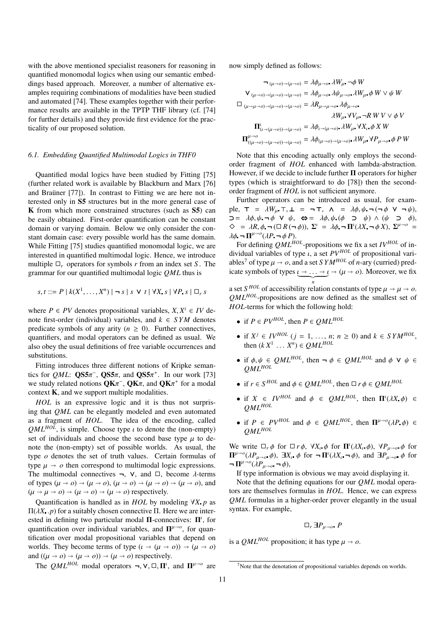with the above mentioned specialist reasoners for reasoning in quantified monomodal logics when using our semantic embeddings based approach. Moreover, a number of alternative examples requiring combinations of modalities have been studied and automated [74]. These examples together with their performance results are available in the TPTP THF library (cf. [74] for further details) and they provide first evidence for the practicality of our proposed solution.

## *6.1. Embedding Quantified Multimodal Logics in THF0*

Quantified modal logics have been studied by Fitting [75] (further related work is available by Blackburn and Marx [76] and Brauner  $[77]$ ). In contrast to Fitting we are here not interested only in S5 structures but in the more general case of K from which more constrained structures (such as S5) can be easily obtained. First-order quantification can be constant domain or varying domain. Below we only consider the constant domain case: every possible world has the same domain. While Fitting [75] studies quantified monomodal logic, we are interested in quantified multimodal logic. Hence, we introduce multiple  $\Box_r$  operators for symbols *r* from an index set *S*. The grammar for our quantified multimodal logic *QML* thus is

$$
s, t ::= P \mid k(X^1, \dots, X^n) \mid \neg s \mid s \lor t \mid \forall X \ s \mid \forall P \ s \mid \Box_r s
$$

where  $P \in PV$  denotes propositional variables,  $X, X^i \in IV$  denotes note first-order (individual) variables, and  $k \in SYM$  denotes note first-order (individual) variables, and  $k \in \text{SYM}$  denotes predicate symbols of any arity ( $n \geq 0$ ). Further connectives, quantifiers, and modal operators can be defined as usual. We also obey the usual definitions of free variable occurrences and substitutions.

Fitting introduces three different notions of Kripke semantics for *QML*:  $\mathbf{Q}S5\pi^-, \mathbf{Q}S5\pi$ , and  $\mathbf{Q}S5\pi^+$ . In our work [73]<br>we study related notions  $\mathbf{Q}\mathbf{K}\pi^-$ .  $\mathbf{Q}\mathbf{K}\pi$  and  $\mathbf{Q}\mathbf{K}\pi^+$  for a modal we study related notions  $QK\pi^-$ ,  $QK\pi$ , and  $QK\pi^+$  for a modal context **K** and we support multiple modalities context K, and we support multiple modalities.

*HOL* is an expressive logic and it is thus not surprising that *QML* can be elegantly modeled and even automated as a fragment of *HOL*. The idea of the encoding, called  $QML^{HOL}$ , is simple. Choose type  $\iota$  to denote the (non-empty) set of individuals and choose the second base type  $\mu$  to denote the (non-empty) set of possible worlds. As usual, the type *o* denotes the set of truth values. Certain formulas of type  $\mu \rightarrow o$  then correspond to multimodal logic expressions. The multimodal connectives  $\neg$ ,  $\nabla$ , and  $\Box$ , become  $\lambda$ -terms of types  $(\mu \to o) \to (\mu \to o), (\mu \to o) \to (\mu \to o) \to (\mu \to o)$ , and  $(\mu \rightarrow \mu \rightarrow o) \rightarrow (\mu \rightarrow o) \rightarrow (\mu \rightarrow o)$  respectively.

Quantification is handled as in *HOL* by modeling ∀*X p* as  $\Pi(λX, p)$  for a suitably chosen connective  $\Pi$ . Here we are interested in defining two particular modal  $\Pi$ -connectives:  $\Pi^{\iota}$ , for quantification over individual variables, and  $\Pi^{\mu\to\rho}$ , for quantification over modal propositional variables that depend on worlds. They become terms of type  $(\iota \to (\mu \to o)) \to (\mu \to o)$ and  $((\mu \rightarrow o) \rightarrow (\mu \rightarrow o)) \rightarrow (\mu \rightarrow o)$  respectively.

The *QML<sup>HOL</sup>* modal operators  $\neg, \vee, \Box, \Pi^{\iota}$ , and  $\Pi^{\mu \to o}$  are

now simply defined as follows:

$$
\begin{aligned}\n\mathbf{T}_{(\mu\to o)\to(\mu\to o)} &= \lambda \phi_{\mu\to o} \cdot \lambda W_{\mu} \cdot \phi W \\
\mathbf{V}_{(\mu\to o)\to(\mu\to o)\to(\mu\to o)} &= \lambda \phi_{\mu\to o} \cdot \lambda \psi_{\mu\to o} \cdot \lambda W_{\mu} \cdot \phi W \vee \psi W \\
\Box \quad &(\mu\to\mu\to o)\to(\mu\to o)\to(\mu\to o) = \lambda R_{\mu\to\mu\to o} \cdot \lambda \phi_{\mu\to o} \\
&= \lambda W_{\mu} \cdot \mathbf{V}V_{\mu} \cdot \mathbf{V}R \cdot \mathbf{W} \cdot \mathbf{V} \cdot \phi V \\
\mathbf{\Pi}_{(\mu\to(\mu\to o))\to(\mu\to o)}^{i} &= \lambda \phi_{\mu\to(\mu\to o)} \cdot \lambda W_{\mu} \cdot \mathbf{V}X_{\mu} \cdot \phi X W \\
\mathbf{\Pi}_{((\mu\to o)\to(\mu\to o))\to(\mu\to o)}^{i} &= \lambda \phi_{(\mu\to o)\to(\mu\to o)} \cdot \lambda W_{\mu} \cdot \mathbf{V}P_{\mu\to o} \cdot \phi P W\n\end{aligned}
$$

Note that this encoding actually only employs the secondorder fragment of *HOL* enhanced with lambda-abstraction. However, if we decide to include further  $\Pi$  operators for higher types (which is straightforward to do [78]) then the secondorder fragment of *HOL* is not sufficient anymore.

Further operators can be introduced as usual, for example,  $\tau = \lambda W_u$ ,  $\tau$ ,  $\bot = \neg \tau$ ,  $\Lambda = \lambda \phi$ ,  $\psi$ ,  $\neg (\neg \phi \lor \neg \psi)$ ,  $\supset = \lambda \phi, \psi \neg \phi \lor \psi, \Leftrightarrow = \lambda \phi, \psi \ (\phi \supset \psi) \land (\psi \supset \phi),$  $\diamondsuit = \lambda R, \phi \neg (\Box R(\neg \phi)), \Sigma' = \lambda \phi \neg \Pi' (\lambda X \neg \phi X), \Sigma^{\mu \to o} =$ <br>  $\lambda \phi \neg \Pi^{\mu \to o} (\lambda P \neg \phi P)$  $\lambda \phi \neg \Pi^{\mu \to o} (\lambda P \neg \phi P).$ <br>For defining  $OMI^{H}$ 

For defining *QMLHOL*-propositions we fix a set *IVHOL* of individual variables of type ι, a set *PVHOL* of propositional variables<sup>7</sup> of type  $\mu \to o$ , and a set *SYM<sup>HOL</sup>* of *n*-ary (curried) predicate symbols of types  $\underbrace{\iota \to \ldots \to \iota}_{n} \to (\mu \to o)$ . Moreover, we fix *n*

a set *S*<sup>*HOL*</sup> of accessibility relation constants of type  $\mu \to \rho$ .<br>*OMI* <sup>*HOL*</sup> propositions are now defined as the smallest set of *QMLHOL*-propositions are now defined as the smallest set of *HOL*-terms for which the following hold:

- if  $P \in PV^{HOL}$ , then  $P \in OML^{HOL}$
- if  $X^j \in IV^{HOL}$  (*j* = 1, ..., *n*; *n* ≥ 0) and  $k \in SYM^{HOL}$ , then  $(kX^1 \dots X^n) \in QML^{HOL}$
- if  $\phi, \psi \in QML^{HOL}$ , then  $\neg \phi \in QML^{HOL}$  and  $\phi \vee \psi \in QML^{HOL}$
- if  $r \in S^{HOL}$  and  $\phi \in QML^{HOL}$ , then  $\Box r \phi \in QML^{HOL}$
- if  $X \in IV^{HOL}$  and  $\phi \in QML^{HOL}$ , then  $\Pi^{\ell}(\lambda X, \phi) \in OML^{HOL}$ *QMLHOL*
- if  $P \in PV^{HOL}$  and  $\phi \in QML^{HOL}$ , then  $\Pi^{\mu\rightarrow o}(\lambda P \cdot \phi) \in QML^{HOL}$ *QMLHOL*

We write  $\Box_r \phi$  for  $\Box r \phi$ ,  $\forall X_i \phi$  for  $\Pi^i(\lambda X_i, \phi)$ ,  $\forall P_{\mu \to 0} \phi$  for  $\Pi^{\mu \to 0}(\lambda P - \phi)$  and  $\Psi$  and  $\Psi$  and  $\Psi$  $\Pi^{\mu\rightarrow o}(\lambda P_{\mu\rightarrow o}, \phi)$ ,  $\exists X_i$ , φ for  $\neg$  Π<sup>*i</sup>*( $\lambda X_i$ ,  $\neg$ φ), and  $\exists P_{\mu\rightarrow o}$ , φ for  $\neg$  Π<sup>*μ*→*o*</sup>( $\lambda P$ </sub></sup>  $\neg \Pi^{\mu \to o} (\lambda P_{\mu \to o} \neg \phi),$ <br>If type information

If type information is obvious we may avoid displaying it.

Note that the defining equations for our *QML* modal operators are themselves formulas in *HOL*. Hence, we can express *QML* formulas in a higher-order prover elegantly in the usual syntax. For example,

$$
\Box_r \,\exists P_{\mu\to\rho} \; P
$$

is a *QML<sup>HOL</sup>* proposition; it has type  $\mu \to \infty$ .

<sup>7</sup>Note that the denotation of propositional variables depends on worlds.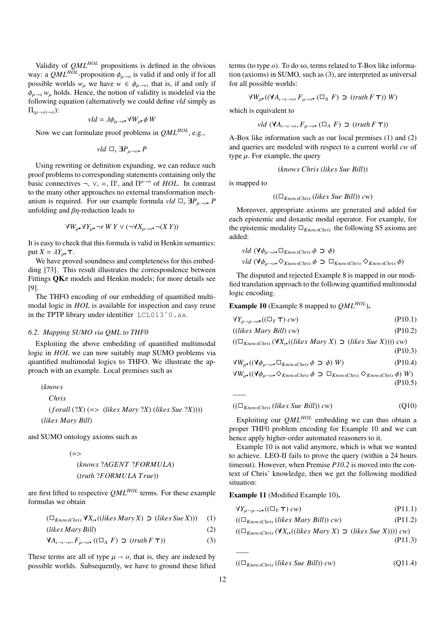Validity of *QMLHOL* propositions is defined in the obvious way: a  $QML^{HOL}$ -proposition  $\phi_{\mu\rightarrow o}$  is valid if and only if for all possible worlds  $w_{\mu}$  we have  $w \in \phi_{\mu \to o}$ , that is, if and only if  $\phi_{\mu\rightarrow o}$  *w<sub>µ</sub>* holds. Hence, the notion of validity is modeled via the following equation (alternatively we could define *vld* simply as  $\Pi_{(\mu\to\rho)\to\rho}$ ):

$$
vld = \lambda \phi_{\mu \to o} \ \forall W_{\mu} \ \phi \ W
$$

Now we can formulate proof problems in *QMLHOL*, e.g.,

$$
vld \Box_r \exists P_{\mu \to o} P
$$

Using rewriting or definition expanding, we can reduce such proof problems to corresponding statements containing only the basic connectives  $\neg$ ,  $\vee$ ,  $\equiv$ ,  $\Pi^{\iota}$ , and  $\Pi^{\mu\rightarrow o}$  of *HOL*. In contrast to the many other approaches no external transformation mechanism is required. For our example formula *vld*  $\Box_r \Box P_{\mu \to \rho}$  *P* unfolding and  $\beta$ η-reduction leads to

$$
\forall W_{\mu} \ \forall Y_{\mu} \ \neg r \ W \ Y \lor (\neg \forall X_{\mu \to o} \ \neg (X \ Y))
$$

It is easy to check that this formula is valid in Henkin semantics: put  $X = \lambda Y_u$ .

We have proved soundness and completeness for this embedding [73]. This result illustrates the correspondence between Fittings  $QK\pi$  models and Henkin models; for more details see [9].

The THFO encoding of our embedding of quantified multimodal logic in *HOL* is available for inspection and easy reuse in the TPTP library under identifier LCL013ˆ0.ax.

## *6.2. Mapping SUMO via QML to THF0*

Exploiting the above embedding of quantified multimodal logic in *HOL* we can now suitably map SUMO problems via quantified multimodal logics to THFO. We illustrate the approach with an example. Local premises such as

$$
(knows Chris(forall (?X) (=> (likes Mary ?X) (likes Sue ?X))))(likes Mary Bill)
$$

and SUMO ontology axioms such as

(=> (*knows* ?*AGENT* ?*FORMULA*) (*truth* ?*FORMULA T rue*))

are first lifted to respective *QMLHOL* terms. For these example formulas we obtain

 $(\Box_{KnowsChrist} \forall X_i ((likes Mary X) ⊃ (likes Sue X)))$  (1)

(*likes Mary Bill*) 
$$
\tag{2}
$$

$$
\forall A_{t \to t \to 0}, F_{\mu \to 0} \ ((\Box_A \ F) \supset (truth \ F \ T)) \tag{3}
$$

These terms are all of type  $\mu \rightarrow o$ , that is, they are indexed by possible worlds. Subsequently, we have to ground these lifted terms (to type *o*). To do so, terms related to T-Box like information (axioms) in SUMO, such as (3), are interpreted as universal for all possible worlds:

$$
\forall W_{\mu} \left( (\forall A_{\iota \to \iota \to o}, F_{\mu \to o^*} (\Box_A F) \supset (truth F \top) \right) W)
$$

which is equivalent to

$$
vld \; (\mathsf{V}A_{\iota \to \iota \to o}, F_{\mu \to o} \; (\square_A \; F) \supset (truth \; F \; \mathsf{T}))
$$

A-Box like information such as our local premises (1) and (2) and queries are modeled with respect to a current world *cw* of type  $\mu$ . For example, the query

$$
(knows Chris (likes Sue Bill))
$$

is mapped to

*——*

$$
((\Box_{KnowsChrist}(likes Sue Bill)) cw)
$$

Moreover, appropriate axioms are generated and added for each epistemic and doxastic modal operator. For example, for the epistemic modality  $\Box_{KnowsChris}$  the following S5 axioms are added:

$$
\nu \cdot \mathit{Id} \, (\forall \phi_{\mu \to o} \Box_{KnowsChrist} \phi \supset \phi)
$$
\n
$$
\nu \cdot \mathit{Id} \, (\forall \phi_{\mu \to o} \negthinspace \diamond \Diamond_{KnowsChrist} \phi \supset \Box_{KnowsChrist} \Diamond_{KnowsChrist} \phi)
$$

The disputed and rejected Example 8 is mapped in our modified translation approach to the following quantified multimodal logic encoding.

Example 10 (Example 8 mapped to *QMLHOL*).

$$
\forall Y_{\mu \to \mu \to o^*} ((\Box_Y \mathsf{T}) \, cw) \tag{P10.1}
$$

$$
((likes Mary Bill) cw)
$$
\n
$$
(P10.2)
$$

(( $\Box$ *KnowsChris* (∀*X*<sub>I</sub> ((*likes Mary X*) ⊃ (*likes Sue X*)))) *cw*) (P10.3)

$$
\forall W_{\mu} . ((\forall \phi_{\mu \to o} \Box_{KnowsChrist} \phi \supset \phi) W) \tag{P10.4}
$$

$$
\forall W_{\mu} ((\forall \phi_{\mu \to o^{\bullet}} \Diamond_{KnowsChrist} \phi \supset \Box_{KnowsChrist} \Diamond_{KnowsChrist} \phi) W)
$$
\n(P10.5)

 $((\Box_{KnowsChrist}(likes \: Sue \: Bill) \: cw)$  (Q10)

Exploiting our *QMLHOL* embedding we can thus obtain a proper THF0 problem encoding for Example 10 and we can hence apply higher-order automated reasoners to it.

Example 10 is not valid anymore, which is what we wanted to achieve. LEO-II fails to prove the query (within a 24 hours timeout). However, when Premise *P10.2* is moved into the context of Chris' knowledge, then we get the following modified situation:

# Example 11 (Modified Example 10).

| $\forall Y_{\mu \to \mu \to \sigma} ((\Box_Y \top) cw)$ | (P11.1) |
|---------------------------------------------------------|---------|
|                                                         |         |

$$
((\Box_{KnowsChrist}(likes Mary Bill)) cw) \qquad (P11.2)
$$

$$
((\Box_{KnowsChris}(\forall X_{\iota}((likes Mary X) \supset (likes Sue X)))) cw)
$$
\n
$$
(P11.3)
$$

$$
((\Box_{KnowsChrist}(likes \: Sue \: Bill)) \: cw) \tag{Q11.4}
$$

*——*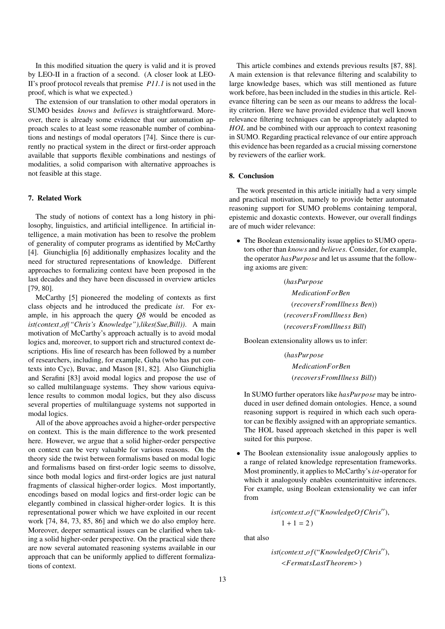In this modified situation the query is valid and it is proved by LEO-II in a fraction of a second. (A closer look at LEO-II's proof protocol reveals that premise *P11.1* is not used in the proof, which is what we expected.)

The extension of our translation to other modal operators in SUMO besides *knows* and *believes* is straightforward. Moreover, there is already some evidence that our automation approach scales to at least some reasonable number of combinations and nestings of modal operators [74]. Since there is currently no practical system in the direct or first-order approach available that supports flexible combinations and nestings of modalities, a solid comparison with alternative approaches is not feasible at this stage.

## 7. Related Work

The study of notions of context has a long history in philosophy, linguistics, and artificial intelligence. In artificial intelligence, a main motivation has been to resolve the problem of generality of computer programs as identified by McCarthy [4]. Giunchiglia [6] additionally emphasizes locality and the need for structured representations of knowledge. Different approaches to formalizing context have been proposed in the last decades and they have been discussed in overview articles [79, 80].

McCarthy [5] pioneered the modeling of contexts as first class objects and he introduced the predicate *ist*. For example, in his approach the query *Q8* would be encoded as *ist(context of("Chris's Knowledge"),likes(Sue,Bill))*. A main motivation of McCarthy's approach actually is to avoid modal logics and, moreover, to support rich and structured context descriptions. His line of research has been followed by a number of researchers, including, for example, Guha (who has put contexts into Cyc), Buvac, and Mason [81, 82]. Also Giunchiglia and Serafini [83] avoid modal logics and propose the use of so called multilanguage systems. They show various equivalence results to common modal logics, but they also discuss several properties of multilanguage systems not supported in modal logics.

All of the above approaches avoid a higher-order perspective on context. This is the main difference to the work presented here. However, we argue that a solid higher-order perspective on context can be very valuable for various reasons. On the theory side the twist between formalisms based on modal logic and formalisms based on first-order logic seems to dissolve, since both modal logics and first-order logics are just natural fragments of classical higher-order logics. Most importantly, encodings based on modal logics and first-order logic can be elegantly combined in classical higher-order logics. It is this representational power which we have exploited in our recent work [74, 84, 73, 85, 86] and which we do also employ here. Moreover, deeper semantical issues can be clarified when taking a solid higher-order perspective. On the practical side there are now several automated reasoning systems available in our approach that can be uniformly applied to different formalizations of context.

This article combines and extends previous results [87, 88]. A main extension is that relevance filtering and scalability to large knowledge bases, which was still mentioned as future work before, has been included in the studies in this article. Relevance filtering can be seen as our means to address the locality criterion. Here we have provided evidence that well known relevance filtering techniques can be appropriately adapted to *HOL* and be combined with our approach to context reasoning in SUMO. Regarding practical relevance of our entire approach this evidence has been regarded as a crucial missing cornerstone by reviewers of the earlier work.

# 8. Conclusion

The work presented in this article initially had a very simple and practical motivation, namely to provide better automated reasoning support for SUMO problems containing temporal, epistemic and doxastic contexts. However, our overall findings are of much wider relevance:

• The Boolean extensionality issue applies to SUMO operators other than *knows* and *believes*. Consider, for example, the operator *hasPurpose* and let us assume that the following axioms are given:

> (*hasPurpose MedicationForBen* (*recoversFromIllness Ben*)) (*recoversFromIllness Ben*) (*recoversFromIllness Bill*)

Boolean extensionality allows us to infer:

(*hasPurpose MedicationForBen* (*recoversFromIllness Bill*))

In SUMO further operators like *hasPurpose* may be introduced in user defined domain ontologies. Hence, a sound reasoning support is required in which each such operator can be flexibly assigned with an appropriate semantics. The HOL based approach sketched in this paper is well suited for this purpose.

• The Boolean extensionality issue analogously applies to a range of related knowledge representation frameworks. Most prominently, it applies to McCarthy's *ist*-operator for which it analogously enables counterintuitive inferences. For example, using Boolean extensionality we can infer from

> $ist(context_of("KnowledgeOf Chris"),$  $1 + 1 = 2$

that also

$$
ist (context\_of(``KnowledgeOf Chris''),)
$$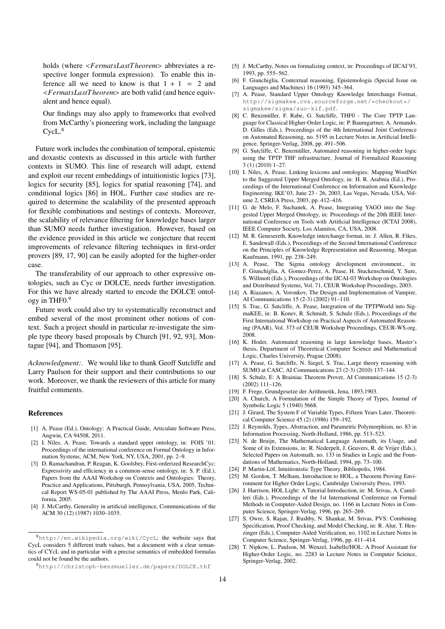holds (where <*FermatsLastT heorem*> abbreviates a respective longer formula expression). To enable this inference all we need to know is that  $1 + 1 = 2$  and <*FermatsLastT heorem*> are both valid (and hence equivalent and hence equal).

Our findings may also apply to frameworks that evolved from McCarthy's pioneering work, including the language  $CycL<sup>8</sup>$ 

Future work includes the combination of temporal, epistemic and doxastic contexts as discussed in this article with further contexts in SUMO. This line of research will adapt, extend and exploit our recent embeddings of intuitionistic logics [73], logics for security [85], logics for spatial reasoning [74], and conditional logics [86] in HOL. Further case studies are required to determine the scalability of the presented approach for flexible combinations and nestings of contexts. Moreover, the scalability of relevance filtering for knowledge bases larger than SUMO needs further investigation. However, based on the evidence provided in this article we conjecture that recent improvements of relevance filtering techniques in first-order provers [89, 17, 90] can be easily adopted for the higher-order case.

The transferability of our approach to other expressive ontologies, such as Cyc or DOLCE, needs further investigation. For this we have already started to encode the DOLCE ontology in THF0.<sup>9</sup>

Future work could also try to systematically reconstruct and embed several of the most prominent other notions of context. Such a project should in particular re-investigate the simple type theory based proposals by Church [91, 92, 93], Montague [94], and Thomason [95].

*Acknowledgment:.* We would like to thank Geoff Sutcliffe and Larry Paulson for their support and their contributions to our work. Moreover, we thank the reviewers of this article for many fruitful comments.

## References

- [1] A. Pease (Ed.), Ontology: A Practical Guide, Articulate Software Press, Angwin, CA 94508, 2011.
- [2] I. Niles, A. Pease, Towards a standard upper ontology, in: FOIS '01: Proceedings of the international conference on Formal Ontology in Information Systems, ACM, New York, NY, USA, 2001, pp. 2–9.
- [3] D. Ramachandran, P. Reagan, K. Goolsbey, First-orderized ResearchCyc: Expressivity and efficiency in a common-sense ontology, in: S. P. (Ed.), Papers from the AAAI Workshop on Contexts and Ontologies: Theory, Practice and Applications, Pittsburgh, Pennsylvania, USA, 2005, Technical Report WS-05-01 published by The AAAI Press, Menlo Park, California, 2005.
- [4] J. McCarthy, Generality in artificial intelligence, Communications of the ACM 30 (12) (1987) 1030–1035.
- [5] J. McCarthy, Notes on formalizing context, in: Proceedings of IJCAI'93, 1993, pp. 555–562.
- [6] F. Giunchiglia, Contextual reasoning, Epistemologia (Special Issue on Languages and Machines) 16 (1993) 345–364.
- [7] A. Pease, Standard Upper Ontology Knowledge Interchange Format, http://sigmakee.cvs.sourceforge.net/\*checkout\*/ sigmakee/sigma/suo-kif.pdf.
- [8] C. Benzmüller, F. Rabe, G. Sutcliffe, THF0 The Core TPTP Language for Classical Higher-Order Logic, in: P. Baumgartner, A. Armando, D. Gilles (Eds.), Proceedings of the 4th International Joint Conference on Automated Reasoning, no. 5195 in Lecture Notes in Artificial Intelligence, Springer-Verlag, 2008, pp. 491–506.
- [9] G. Sutcliffe, C. Benzmüller, Automated reasoning in higher-order logic using the TPTP THF infrastructure, Journal of Formalized Reasoning 3 (1) (2010) 1–27.
- [10] I. Niles, A. Pease, Linking lexicons and ontologies: Mapping WordNet to the Suggested Upper Merged Ontology, in: H. R. Arabnia (Ed.), Proceedings of the International Conference on Information and Knowledge Engineering. IKE'03, June 23 - 26, 2003, Las Vegas, Nevada, USA, Volume 2, CSREA Press, 2003, pp. 412–416.
- [11] G. de Melo, F. Suchanek, A. Pease, Integrating YAGO into the Suggested Upper Merged Ontology, in: Proceedings of the 20th IEEE International Conference on Tools with Artificial Intelligence (ICTAI 2008), IEEE Computer Society, Los Alamitos, CA, USA, 2008.
- [12] M. R. Genesereth, Knowledge interchange format, in: J. Allen, R. Fikes, E. Sandewall (Eds.), Proceedings of the Second International Conference on the Principles of Knowledge Representation and Reasoning, Morgan Kaufmann, 1991, pp. 238–249.
- [13] A. Pease, The Sigma ontology development environment., in: F. Giunchiglia, A. Gomez-Perez, A. Pease, H. Stuckenschmid, Y. Sure, S. Willmott (Eds.), Proceedings of the IJCAI-03 Workshop on Ontologies and Distributed Systems, Vol. 71, CEUR Workshop Proceedings, 2003.
- [14] A. Riazanov, A. Voronkov, The Design and Implementation of Vampire, AI Communications 15 (2-3) (2002) 91–110.
- [15] S. Trac, G. Sutcliffe, A. Pease, Integration of the TPTPWorld into SigmaKEE, in: B. Konev, R. Schmidt, S. Schulz (Eds.), Proceedings of the First International Workshop on Practical Aspects of Automated Reasoning (PAAR), Vol. 373 of CEUR Workshop Proceedings, CEUR-WS.org, 2008.
- [16] K. Hoder, Automated reasoning in large knowledge bases, Master's thesis, Department of Theoretical Computer Science and Mathematical Logic, Charles University, Prague (2008).
- [17] A. Pease, G. Sutcliffe, N. Siegel, S. Trac, Large theory reasoning with SUMO at CASC, AI Communications 23 (2-3) (2010) 137–144.
- [18] S. Schulz, E: A Brainiac Theorem Prover, AI Communications 15 (2-3) (2002) 111–126.
- [19] F. Frege, Grundgesetze der Arithmetik, Jena, 1893,1903.
- [20] A. Church, A Formulation of the Simple Theory of Types, Journal of Symbolic Logic 5 (1940) 5668.
- [21] J. Girard, The System F of Variable Types, Fifteen Years Later, Theoretical Computer Science 45 (2) (1986) 159–192.
- [22] J. Reynolds, Types, Abstraction, and Parametric Polymorphism, no. 83 in Information Processing, North-Holland, 1986, pp. 513–523.
- [23] N. de Bruijn, The Mathematical Language Automath, its Usage, and Some of its Extensions, in: R. Nederpelt, J. Geuvers, R. de Vrijer (Eds.), Selected Papers on Automath, no. 133 in Studies in Logic and the Foundations of Mathematics, North-Holland, 1994, pp. 73–100.
- [24] P. Martin-Löf, Intuitionistic Type Theory, Bibliopolis, 1984.
- [25] M. Gordon, T. Melham, Introduction to HOL, a Theorem Proving Environment for Higher Order Logic, Cambridge University Press, 1993.
- [26] J. Harrison, HOL Light: A Tutorial Introduction, in: M. Srivas, A. Camilleri (Eds.), Proceedings of the 1st International Conference on Formal Methods in Computer-Aided Design, no. 1166 in Lecture Notes in Computer Science, Springer-Verlag, 1996, pp. 265–269.
- [27] S. Owre, S. Rajan, J. Rushby, N. Shankar, M. Srivas, PVS: Combining Specification, Proof Checking, and Model Checking, in: R. Alur, T. Henzinger (Eds.), Computer-Aided Verification, no. 1102 in Lecture Notes in Computer Science, Springer-Verlag, 1996, pp. 411–414.
- [28] T. Nipkow, L. Paulson, M. Wenzel, Isabelle/HOL: A Proof Assistant for Higher-Order Logic, no. 2283 in Lecture Notes in Computer Science, Springer-Verlag, 2002.

<sup>8</sup>http://en.wikipedia.org/wiki/CycL; the website says that CycL considers 5 different truth values, but a document with a clear semantics of CYcL and in particular with a precise semantics of embedded formulas could not be found be the authors.

<sup>9</sup>http://christoph-benzmueller.de/papers/DOLCE.thf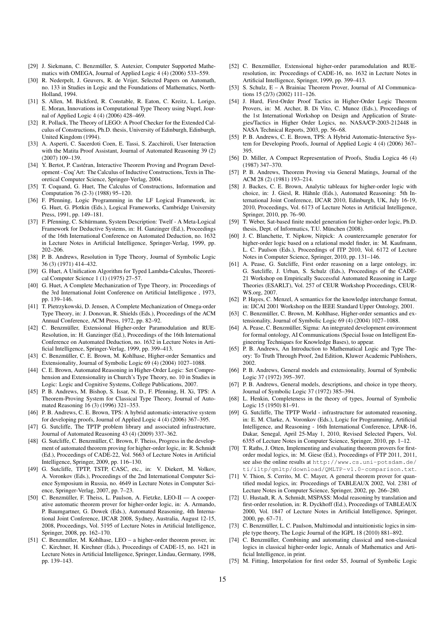- [29] J. Siekmann, C. Benzmüller, S. Autexier, Computer Supported Mathematics with OMEGA, Journal of Applied Logic 4 (4) (2006) 533–559.
- [30] R. Nederpelt, J. Geuvers, R. de Vrijer, Selected Papers on Automath, no. 133 in Studies in Logic and the Foundations of Mathematics, North-Holland, 1994.
- [31] S. Allen, M. Bickford, R. Constable, R. Eaton, C. Kreitz, L. Lorigo, E. Moran, Innovations in Computational Type Theory using Nuprl, Journal of Applied Logic 4 (4) (2006) 428–469.
- [32] R. Pollack, The Theory of LEGO: A Proof Checker for the Extended Calculus of Constructions, Ph.D. thesis, University of Edinburgh, Edinburgh, United Kingdom (1994).
- [33] A. Asperti, C. Sacerdoti Coen, E. Tassi, S. Zacchiroli, User Interaction with the Matita Proof Assistant, Journal of Automated Reasoning 39 (2) (2007) 109–139.
- [34] Y. Bertot, P. Castéran, Interactive Theorem Proving and Program Development - Coq'Art: The Calculus of Inductive Constructions, Texts in Theoretical Computer Science, Springer-Verlag, 2004.
- [35] T. Coquand, G. Huet, The Calculus of Constructions, Information and Computation 76 (2-3) (1988) 95–120.
- [36] F. Pfenning, Logic Programming in the LF Logical Framework, in: G. Huet, G. Plotkin (Eds.), Logical Frameworks, Cambridge University Press, 1991, pp. 149–181.
- [37] F. Pfenning, C. Schürmann, System Description: Twelf A Meta-Logical Framework for Deductive Systems, in: H. Ganzinger (Ed.), Proceedings of the 16th International Conference on Automated Deduction, no. 1632 in Lecture Notes in Artificial Intelligence, Springer-Verlag, 1999, pp. 202–206.
- [38] P. B. Andrews, Resolution in Type Theory, Journal of Symbolic Logic 36 (3) (1971) 414–432.
- [39] G. Huet, A Unification Algorithm for Typed Lambda-Calculus, Theoretical Computer Science 1 (1) (1975) 27–57.
- [40] G. Huet, A Complete Mechanization of Type Theory, in: Proceedings of the 3rd International Joint Conference on Artificial Intelligence , 1973, pp. 139–146.
- [41] T. Pietrzykowski, D. Jensen, A Complete Mechanization of Omega-order Type Theory, in: J. Donovan, R. Shields (Eds.), Proceedings of the ACM Annual Conference, ACM Press, 1972, pp. 82–92.
- [42] C. Benzmüller, Extensional Higher-order Paramodulation and RUE-Resolution, in: H. Ganzinger (Ed.), Proceedings of the 16th International Conference on Automated Deduction, no. 1632 in Lecture Notes in Artificial Intelligence, Springer-Verlag, 1999, pp. 399–413.
- [43] C. Benzmüller, C. E. Brown, M. Kohlhase, Higher-order Semantics and Extensionality, Journal of Symbolic Logic 69 (4) (2004) 1027–1088.
- [44] C. E. Brown, Automated Reasoning in Higher-Order Logic: Set Comprehension and Extensionality in Church's Type Theory, no. 10 in Studies in Logic: Logic and Cognitive Systems, College Publications, 2007.
- [45] P. B. Andrews, M. Bishop, S. Issar, N. D., F. Pfenning, H. Xi, TPS: A Theorem-Proving System for Classical Type Theory, Journal of Automated Reasoning 16 (3) (1996) 321–353.
- [46] P. B. Andrews, C. E. Brown, TPS: A hybrid automatic-interactive system for developing proofs, Journal of Applied Logic 4 (4) (2006) 367–395.
- [47] G. Sutcliffe, The TPTP problem library and associated infrastructure, Journal of Automated Reasoning 43 (4) (2009) 337–362.
- [48] G. Sutcliffe, C. Benzmüller, C. Brown, F. Theiss, Progress in the development of automated theorem proving for higher-order logic, in: R. Schmidt (Ed.), Proceedings of CADE-22, Vol. 5663 of Lecture Notes in Artificial Intelligence, Springer, 2009, pp. 116–130.
- [49] G. Sutcliffe, TPTP, TSTP, CASC, etc., in: V. Diekert, M. Volkov, A. Voronkov (Eds.), Proceedings of the 2nd International Computer Science Symposium in Russia, no. 4649 in Lecture Notes in Computer Science, Springer-Verlag, 2007, pp. 7–23.
- [50] C. Benzmüller, F. Theiss, L. Paulson, A. Fietzke, LEO-II A cooperative automatic theorem prover for higher-order logic, in: A. Armando, P. Baumgartner, G. Dowek (Eds.), Automated Reasoning, 4th International Joint Conference, IJCAR 2008, Sydney, Australia, August 12-15, 2008, Proceedings, Vol. 5195 of Lecture Notes in Artificial Intelligence, Springer, 2008, pp. 162–170.
- [51] C. Benzmüller, M. Kohlhase, LEO a higher-order theorem prover, in: C. Kirchner, H. Kirchner (Eds.), Proceedings of CADE-15, no. 1421 in Lecture Notes in Artificial Intelligence, Springer, Lindau, Germany, 1998, pp. 139–143.
- [52] C. Benzmüller, Extensional higher-order paramodulation and RUEresolution, in: Proceedings of CADE-16, no. 1632 in Lecture Notes in Artificial Intelligence, Springer, 1999, pp. 399–413.
- [53] S. Schulz, E A Brainiac Theorem Prover, Journal of AI Communications 15 (2/3) (2002) 111–126.
- [54] J. Hurd, First-Order Proof Tactics in Higher-Order Logic Theorem Provers, in: M. Archer, B. Di Vito, C. Munoz (Eds.), Proceedings of the 1st International Workshop on Design and Application of Strategies/Tactics in Higher Order Logics, no. NASA/CP-2003-212448 in NASA Technical Reports, 2003, pp. 56–68.
- [55] P. B. Andrews, C. E. Brown, TPS: A Hybrid Automatic-Interactive System for Developing Proofs, Journal of Applied Logic 4 (4) (2006) 367– 395.
- [56] D. Miller, A Compact Representation of Proofs, Studia Logica 46 (4) (1987) 347–370.
- [57] P. B. Andrews, Theorem Proving via General Matings, Journal of the ACM 28 (2) (1981) 193–214.
- [58] J. Backes, C. E. Brown, Analytic tableaux for higher-order logic with choice, in: J. Giesl, R. Hähnle (Eds.), Automated Reasoning: 5th International Joint Conference, IJCAR 2010, Edinburgh, UK, July 16-19, 2010, Proceedings, Vol. 6173 of Lecture Notes in Artificial Intelligence, Springer, 2010, pp. 76–90.
- [59] T. Weber, Sat-based finite model generation for higher-order logic, Ph.D. thesis, Dept. of Informatics, T.U. München (2008).
- [60] J. C. Blanchette, T. Nipkow, Nitpick: A counterexample generator for higher-order logic based on a relational model finder, in: M. Kaufmann, L. C. Paulson (Eds.), Proceedings of ITP 2010, Vol. 6172 of Lecture Notes in Computer Science, Springer, 2010, pp. 131–146.
- [61] A. Pease, G. Sutcliffe, First order reasoning on a large ontology, in: G. Sutcliffe, J. Urban, S. Schulz (Eds.), Proceedings of the CADE-21 Workshop on Empirically Successful Automated Reasoning in Large Theories (ESARLT), Vol. 257 of CEUR Workshop Proceedings, CEUR-WS.org, 2007.
- [62] P. Hayes, C. Menzel, A semantics for the knowledge interchange format, in: IJCAI 2001 Workshop on the IEEE Standard Upper Ontology, 2001.
- [63] C. Benzmüller, C. Brown, M. Kohlhase, Higher-order semantics and extensionality, Journal of Symbolic Logic 69 (4) (2004) 1027–1088.
- [64] A. Pease, C. Benzmüller, Sigma: An integrated development environment for formal ontology, AI Communications (Special Issue on Intelligent Engineering Techniques for Knowledge Bases), to appear.
- [65] P. B. Andrews, An Introduction to Mathematical Logic and Type Theory: To Truth Through Proof, 2nd Edition, Kluwer Academic Publishers, 2002.
- [66] P. B. Andrews, General models and extensionality, Journal of Symbolic Logic 37 (1972) 395–397.
- [67] P. B. Andrews, General models, descriptions, and choice in type theory, Journal of Symbolic Logic 37 (1972) 385–394.
- [68] L. Henkin, Completeness in the theory of types, Journal of Symbolic Logic 15 (1950) 81–91.
- [69] G. Sutcliffe, The TPTP World infrastructure for automated reasoning, in: E. M. Clarke, A. Voronkov (Eds.), Logic for Programming, Artificial Intelligence, and Reasoning - 16th International Conference, LPAR-16, Dakar, Senegal, April 25-May 1, 2010, Revised Selected Papers, Vol. 6355 of Lecture Notes in Computer Science, Springer, 2010, pp. 1–12.
- [70] T. Raths, J. Otten, Implementing and evaluating theorem provers for firstorder modal logics, in: M. Giese (Ed.), Proceedings of FTP 2011, 2011, see also the online results at http://www.cs.uni-potsdam.de/ ti/iltp/qmltp/download/QMLTP-v1.0-comparison.txt.
- [71] V. Thion, S. Cerrito, M. C. Mayer, A general theorem prover for quantified modal logics, in: Proceedings of TABLEAUX 2002, Vol. 2381 of Lecture Notes in Computer Science, Springer, 2002, pp. 266–280.
- [72] U. Hustadt, R. A. Schmidt, MSPASS: Modal reasoning by translation and first-order resolution, in: R. Dyckhoff (Ed.), Proceedings of TABLEAUX 2000, Vol. 1847 of Lecture Notes in Artificial Intelligence, Springer, 2000, pp. 67–71.
- [73] C. Benzmüller, L. C. Paulson, Multimodal and intuitionistic logics in simple type theory, The Logic Journal of the IGPL 18 (2010) 881–892.
- [74] C. Benzmüller, Combining and automating classical and non-classical logics in classical higher-order logic, Annals of Mathematics and Artificial Intelligence, in print.
- [75] M. Fitting, Interpolation for first order S5, Journal of Symbolic Logic